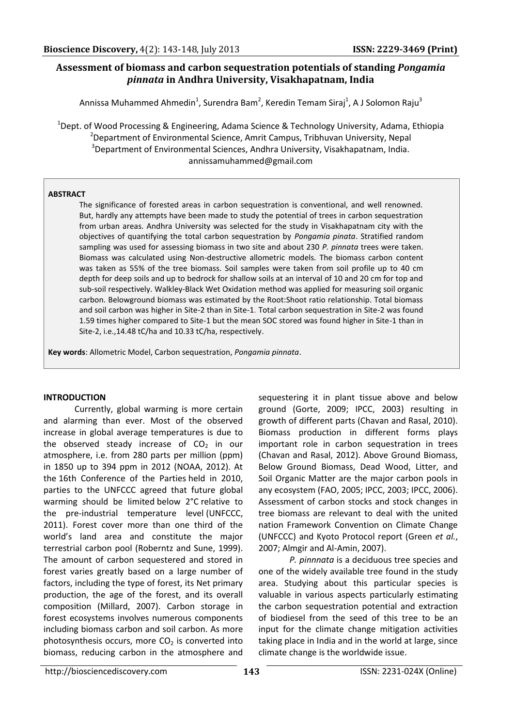# **Assessment of biomass and carbon sequestration potentials of standing** *Pongamia pinnata* **in Andhra University, Visakhapatnam, India**

Annissa Muhammed Ahmedin<sup>1</sup>, Surendra Bam<sup>2</sup>, Keredin Temam Siraj<sup>1</sup>, A J Solomon Raju<sup>3</sup>

<sup>1</sup>Dept. of Wood Processing & Engineering, Adama Science & Technology University, Adama, Ethiopia <sup>2</sup>Department of Environmental Science, Amrit Campus, Tribhuvan University, Nepal <sup>3</sup>Department of Environmental Sciences, Andhra University, Visakhapatnam, India. annissamuhammed@gmail.com

# **ABSTRACT**

The significance of forested areas in carbon sequestration is conventional, and well renowned. But, hardly any attempts have been made to study the potential of trees in carbon sequestration from urban areas. Andhra University was selected for the study in Visakhapatnam city with the objectives of quantifying the total carbon sequestration by *Pongamia pinata*. Stratified random sampling was used for assessing biomass in two site and about 230 *P. pinnata* trees were taken. Biomass was calculated using Non-destructive allometric models. The biomass carbon content was taken as 55% of the tree biomass. Soil samples were taken from soil profile up to 40 cm depth for deep soils and up to bedrock for shallow soils at an interval of 10 and 20 cm for top and sub-soil respectively. Walkley‐Black Wet Oxidation method was applied for measuring soil organic carbon. Belowground biomass was estimated by the Root:Shoot ratio relationship. Total biomass and soil carbon was higher in Site-2 than in Site-1. Total carbon sequestration in Site-2 was found 1.59 times higher compared to Site-1 but the mean SOC stored was found higher in Site-1 than in Site-2, i.e.,14.48 tC/ha and 10.33 tC/ha, respectively.

**Key words**: Allometric Model, Carbon sequestration, *Pongamia pinnata*.

# **INTRODUCTION**

Currently, global warming is more certain and alarming than ever. Most of the observed increase in global average temperatures is due to the observed steady increase of  $CO<sub>2</sub>$  in our atmosphere, i.e. from 280 parts per million (ppm) in 1850 up to 394 ppm in 2012 (NOAA, 2012). At the 16th Conference of the Parties held in 2010, parties to the UNFCCC agreed that future global warming should be limited below 2°C relative to the pre-industrial temperature level (UNFCCC, 2011). Forest cover more than one third of the world's land area and constitute the major terrestrial carbon pool (Roberntz and Sune, 1999). The amount of carbon sequestered and stored in forest varies greatly based on a large number of factors, including the type of forest, its Net primary production, the age of the forest, and its overall composition (Millard, 2007). Carbon storage in forest ecosystems involves numerous components including biomass carbon and soil carbon. As more photosynthesis occurs, more  $CO<sub>2</sub>$  is converted into biomass, reducing carbon in the atmosphere and

sequestering it in plant tissue above and below ground (Gorte, 2009; IPCC, 2003) resulting in growth of different parts (Chavan and Rasal, 2010). Biomass production in different forms plays important role in carbon sequestration in trees (Chavan and Rasal, 2012). Above Ground Biomass, Below Ground Biomass, Dead Wood, Litter, and Soil Organic Matter are the major carbon pools in any ecosystem (FAO, 2005; IPCC, 2003; IPCC, 2006). Assessment of carbon stocks and stock changes in tree biomass are relevant to deal with the united nation Framework Convention on Climate Change (UNFCCC) and Kyoto Protocol report (Green *et al.*, 2007; Almgir and Al-Amin, 2007).

*P. pinnnata* is a deciduous tree species and one of the widely available tree found in the study area. Studying about this particular species is valuable in various aspects particularly estimating the carbon sequestration potential and extraction of biodiesel from the seed of this tree to be an input for the climate change mitigation activities taking place in India and in the world at large, since climate change is the worldwide issue.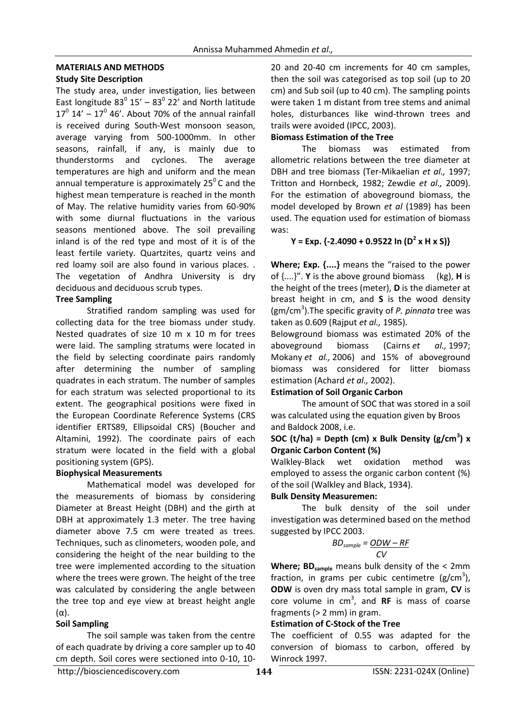# **MATERIALS AND METHODS**

### **Study Site Description**

The study area, under investigation, lies between East longitude  $83^{\circ}$  15' -  $83^{\circ}$  22' and North latitude  $17^{\circ}$  14' - 17 $^{\circ}$  46'. About 70% of the annual rainfall is received during South-West monsoon season, average varying from 500-1000mm. In other seasons, rainfall, if any, is mainly due to thunderstorms and cyclones. The average temperatures are high and uniform and the mean annual temperature is approximately  $25^{\circ}$ C and the highest mean temperature is reached in the month of May. The relative humidity varies from 60-90% with some diurnal fluctuations in the various seasons mentioned above. The soil prevailing inland is of the red type and most of it is of the least fertile variety. Quartzites, quartz veins and red loamy soil are also found in various places. . The vegetation of Andhra University is dry deciduous and deciduous scrub types.

# **Tree Sampling**

Stratified random sampling was used for collecting data for the tree biomass under study. Nested quadrates of size 10 m x 10 m for trees were laid. The sampling stratums were located in the field by selecting coordinate pairs randomly after determining the number of sampling quadrates in each stratum. The number of samples for each stratum was selected proportional to its extent. The geographical positions were fixed in the European Coordinate Reference Systems (CRS identifier ERTS89, Ellipsoidal CRS) (Boucher and Altamini, 1992). The coordinate pairs of each stratum were located in the field with a global positioning system (GPS).

# **Biophysical Measurements**

Mathematical model was developed for the measurements of biomass by considering Diameter at Breast Height (DBH) and the girth at DBH at approximately 1.3 meter. The tree having diameter above 7.5 cm were treated as trees. Techniques, such as clinometers, wooden pole, and considering the height of the near building to the tree were implemented according to the situation where the trees were grown. The height of the tree was calculated by considering the angle between the tree top and eye view at breast height angle (α).

# **Soil Sampling**

The soil sample was taken from the centre of each quadrate by driving a core sampler up to 40 cm depth. Soil cores were sectioned into 0-10, 1020 and 20-40 cm increments for 40 cm samples, then the soil was categorised as top soil (up to 20 cm) and Sub soil (up to 40 cm). The sampling points were taken 1 m distant from tree stems and animal holes, disturbances like wind-thrown trees and trails were avoided (IPCC, 2003).

# **Biomass Estimation of the Tree**

The biomass was estimated from allometric relations between the tree diameter at DBH and tree biomass (Ter-Mikaelian *et al.,* 1997; Tritton and Hornbeck, 1982; Zewdie *et al.,* 2009). For the estimation of aboveground biomass, the model developed by Brown *et al* (1989) has been used. The equation used for estimation of biomass was:

# **Y = Exp. {-2.4090 + 0.9522 In (D<sup>2</sup> x H x S)}**

**Where; Exp. {....}** means the "raised to the power of {....}". **Y** is the above ground biomass (kg), **H** is the height of the trees (meter), **D** is the diameter at breast height in cm, and **S** is the wood density (gm/cm<sup>3</sup> ).The specific gravity of *P. pinnata* tree was taken as 0.609 (Rajput *et al.,* 1985).

Belowground biomass was estimated 20% of the aboveground biomass (Cairns *et al.,* 1997; Mokany *et al.,* 2006) and 15% of aboveground biomass was considered for litter biomass estimation (Achard *et al.,* 2002).

#### **Estimation of Soil Organic Carbon**

The amount of SOC that was stored in a soil was calculated using the equation given by Broos and Baldock 2008, i.e.

### **SOC (t/ha) = Depth (cm) x Bulk Density (g/cm<sup>3</sup> ) x Organic Carbon Content (%)**

Walkley‐Black wet oxidation method was employed to assess the organic carbon content (%) of the soil (Walkley and Black, 1934).

# **Bulk Density Measuremen:**

The bulk density of the soil under investigation was determined based on the method suggested by IPCC 2003.

$$
BD_{sample} = \underline{ODW - RF}
$$

$$
CV
$$

Where; BD<sub>sample</sub> means bulk density of the < 2mm fraction, in grams per cubic centimetre  $(g/cm<sup>3</sup>)$ , **ODW** is oven dry mass total sample in gram, **CV** is core volume in cm<sup>3</sup>, and RF is mass of coarse fragments (> 2 mm) in gram.

#### **Estimation of C-Stock of the Tree**

The coefficient of 0.55 was adapted for the conversion of biomass to carbon, offered by Winrock 1997.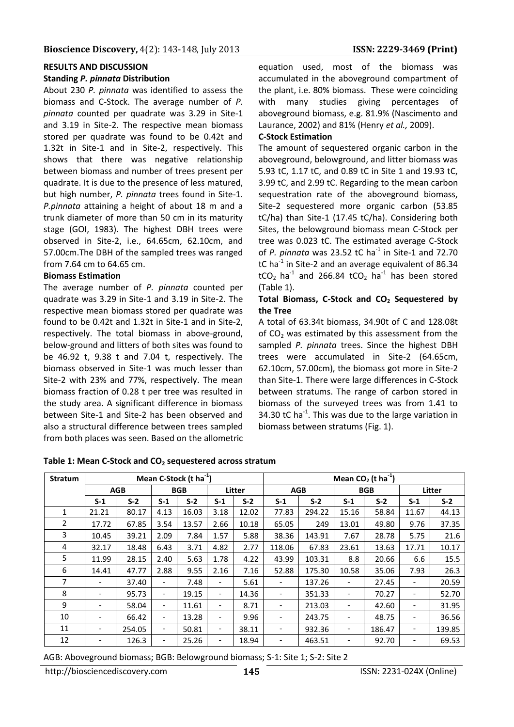#### **RESULTS AND DISCUSSION**

#### **Standing** *P. pinnata* **Distribution**

About 230 *P. pinnata* was identified to assess the biomass and C-Stock. The average number of *P. pinnata* counted per quadrate was 3.29 in Site-1 and 3.19 in Site-2. The respective mean biomass stored per quadrate was found to be 0.42t and 1.32t in Site-1 and in Site-2, respectively. This shows that there was negative relationship between biomass and number of trees present per quadrate. It is due to the presence of less matured, but high number, *P. pinnata* trees found in Site-1. *P.pinnata* attaining a height of about 18 m and a trunk diameter of more than 50 cm in its maturity stage (GOI, 1983). The highest DBH trees were observed in Site-2, i.e., 64.65cm, 62.10cm, and 57.00cm.The DBH of the sampled trees was ranged from 7.64 cm to 64.65 cm.

#### **Biomass Estimation**

The average number of *P. pinnata* counted per quadrate was 3.29 in Site-1 and 3.19 in Site-2. The respective mean biomass stored per quadrate was found to be 0.42t and 1.32t in Site-1 and in Site-2, respectively. The total biomass in above-ground, below-ground and litters of both sites was found to be 46.92 t, 9.38 t and 7.04 t, respectively. The biomass observed in Site-1 was much lesser than Site-2 with 23% and 77%, respectively. The mean biomass fraction of 0.28 t per tree was resulted in the study area. A significant difference in biomass between Site-1 and Site-2 has been observed and also a structural difference between trees sampled from both places was seen. Based on the allometric

equation used, most of the biomass was accumulated in the aboveground compartment of the plant, i.e. 80% biomass. These were coinciding with many studies giving percentages of aboveground biomass, e.g. 81.9% (Nascimento and Laurance, 2002) and 81% (Henry *et al.,* 2009).

#### **C-Stock Estimation**

The amount of sequestered organic carbon in the aboveground, belowground, and litter biomass was 5.93 tC, 1.17 tC, and 0.89 tC in Site 1 and 19.93 tC, 3.99 tC, and 2.99 tC. Regarding to the mean carbon sequestration rate of the aboveground biomass, Site-2 sequestered more organic carbon (53.85 tC/ha) than Site-1 (17.45 tC/ha). Considering both Sites, the belowground biomass mean C-Stock per tree was 0.023 tC. The estimated average C-Stock of *P. pinnata* was 23.52 tC ha<sup>-1</sup> in Site-1 and 72.70  $tC$  ha<sup>-1</sup> in Site-2 and an average equivalent of 86.34  $tCO<sub>2</sub>$  ha<sup>-1</sup> and 266.84 tCO<sub>2</sub> ha<sup>-1</sup> has been stored (Table 1).

#### **Total Biomass, C-Stock and CO<sup>2</sup> Sequestered by the Tree**

A total of 63.34t biomass, 34.90t of C and 128.08t of  $CO<sub>2</sub>$  was estimated by this assessment from the sampled *P. pinnata* trees. Since the highest DBH trees were accumulated in Site-2 (64.65cm, 62.10cm, 57.00cm), the biomass got more in Site-2 than Site-1. There were large differences in C-Stock between stratums. The range of carbon stored in biomass of the surveyed trees was from 1.41 to 34.30  $tC$  ha<sup>-1</sup>. This was due to the large variation in biomass between stratums (Fig. 1).

| <b>Stratum</b> | Mean C-Stock (t ha <sup>-1</sup> ) |        |                          |       |                              |       | Mean $CO2$ (t ha <sup>-1</sup> ) |        |                          |        |        |        |
|----------------|------------------------------------|--------|--------------------------|-------|------------------------------|-------|----------------------------------|--------|--------------------------|--------|--------|--------|
|                | <b>AGB</b>                         |        | <b>BGB</b>               |       | Litter                       |       | <b>AGB</b>                       |        | <b>BGB</b>               |        | Litter |        |
|                | $S-1$                              | $S-2$  | $S-1$                    | $S-2$ | $S-1$                        | $S-2$ | $S-1$                            | $S-2$  | $S-1$                    | $S-2$  | $S-1$  | $S-2$  |
| 1              | 21.21                              | 80.17  | 4.13                     | 16.03 | 3.18                         | 12.02 | 77.83                            | 294.22 | 15.16                    | 58.84  | 11.67  | 44.13  |
| 2              | 17.72                              | 67.85  | 3.54                     | 13.57 | 2.66                         | 10.18 | 65.05                            | 249    | 13.01                    | 49.80  | 9.76   | 37.35  |
| 3              | 10.45                              | 39.21  | 2.09                     | 7.84  | 1.57                         | 5.88  | 38.36                            | 143.91 | 7.67                     | 28.78  | 5.75   | 21.6   |
| 4              | 32.17                              | 18.48  | 6.43                     | 3.71  | 4.82                         | 2.77  | 118.06                           | 67.83  | 23.61                    | 13.63  | 17.71  | 10.17  |
| 5              | 11.99                              | 28.15  | 2.40                     | 5.63  | 1.78                         | 4.22  | 43.99                            | 103.31 | 8.8                      | 20.66  | 6.6    | 15.5   |
| 6              | 14.41                              | 47.77  | 2.88                     | 9.55  | 2.16                         | 7.16  | 52.88                            | 175.30 | 10.58                    | 35.06  | 7.93   | 26.3   |
| 7              | $\overline{\phantom{a}}$           | 37.40  |                          | 7.48  |                              | 5.61  |                                  | 137.26 | $\overline{\phantom{a}}$ | 27.45  |        | 20.59  |
| 8              |                                    | 95.73  | $\overline{\phantom{a}}$ | 19.15 | $\overline{\phantom{a}}$     | 14.36 |                                  | 351.33 | $\overline{\phantom{a}}$ | 70.27  |        | 52.70  |
| 9              |                                    | 58.04  | $\overline{\phantom{a}}$ | 11.61 |                              | 8.71  | $\overline{\phantom{a}}$         | 213.03 | $\overline{\phantom{a}}$ | 42.60  |        | 31.95  |
| 10             |                                    | 66.42  | $\overline{\phantom{a}}$ | 13.28 | $\overline{\phantom{0}}$     | 9.96  |                                  | 243.75 | $\overline{\phantom{a}}$ | 48.75  |        | 36.56  |
| 11             | $\overline{\phantom{a}}$           | 254.05 | $\overline{\phantom{a}}$ | 50.81 | $\overline{\phantom{0}}$     | 38.11 | $\qquad \qquad \blacksquare$     | 932.36 | $\overline{\phantom{a}}$ | 186.47 |        | 139.85 |
| 12             | $\overline{\phantom{a}}$           | 126.3  | $\overline{\phantom{a}}$ | 25.26 | $\qquad \qquad \blacksquare$ | 18.94 | -                                | 463.51 | $\overline{\phantom{a}}$ | 92.70  |        | 69.53  |

**Table 1: Mean C-Stock and CO<sup>2</sup> sequestered across stratum**

AGB: Aboveground biomass; BGB: Belowground biomass; S-1: Site 1; S-2: Site 2

http://biosciencediscovery.com **145 145** ISSN: 2231-024X (Online)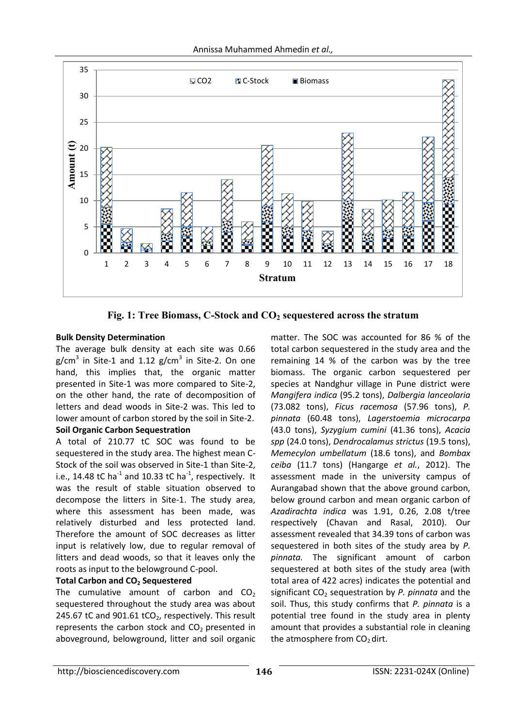

**Fig. 1: Tree Biomass, C-Stock and CO<sup>2</sup> sequestered across the stratum**

# **Bulk Density Determination**

The average bulk density at each site was 0.66 g/cm<sup>3</sup> in Site-1 and 1.12 g/cm<sup>3</sup> in Site-2. On one hand, this implies that, the organic matter presented in Site-1 was more compared to Site-2, on the other hand, the rate of decomposition of letters and dead woods in Site-2 was. This led to lower amount of carbon stored by the soil in Site-2. **Soil Organic Carbon Sequestration**

A total of 210.77 tC SOC was found to be sequestered in the study area. The highest mean C-Stock of the soil was observed in Site-1 than Site-2, i.e., 14.48 tC ha<sup>-1</sup> and 10.33 tC ha<sup>-1</sup>, respectively. It was the result of stable situation observed to decompose the litters in Site-1. The study area, where this assessment has been made, was relatively disturbed and less protected land. Therefore the amount of SOC decreases as litter input is relatively low, due to regular removal of litters and dead woods, so that it leaves only the roots as input to the belowground C-pool.

# **Total Carbon and CO<sup>2</sup> Sequestered**

The cumulative amount of carbon and  $CO<sub>2</sub>$ sequestered throughout the study area was about 245.67 tC and  $901.61$  tCO<sub>2</sub>, respectively. This result represents the carbon stock and  $CO<sub>2</sub>$  presented in aboveground, belowground, litter and soil organic matter. The SOC was accounted for 86 % of the total carbon sequestered in the study area and the remaining 14 % of the carbon was by the tree biomass. The organic carbon sequestered per species at Nandghur village in Pune district were *Mangifera indica* (95.2 tons), *Dalbergia lanceolaria* (73.082 tons), *Ficus racemosa* (57.96 tons), *P. pinnata* (60.48 tons), *Lagerstoemia microcarpa* (43.0 tons), *Syzygium cumini* (41.36 tons), *Acacia spp* (24.0 tons), *Dendrocalamus strictus* (19.5 tons), *Memecylon umbellatum* (18.6 tons), and *Bombax ceiba* (11.7 tons) (Hangarge *et al.*, 2012). The assessment made in the university campus of Aurangabad shown that the above ground carbon, below ground carbon and mean organic carbon of *Azadirachta indica* was 1.91, 0.26, 2.08 t/tree respectively (Chavan and Rasal, 2010). Our assessment revealed that 34.39 tons of carbon was sequestered in both sites of the study area by *P. pinnata.* The significant amount of carbon sequestered at both sites of the study area (with total area of 422 acres) indicates the potential and significant CO<sub>2</sub> sequestration by *P. pinnata* and the soil. Thus, this study confirms that *P. pinnata* is a potential tree found in the study area in plenty amount that provides a substantial role in cleaning the atmosphere from  $CO<sub>2</sub>$  dirt.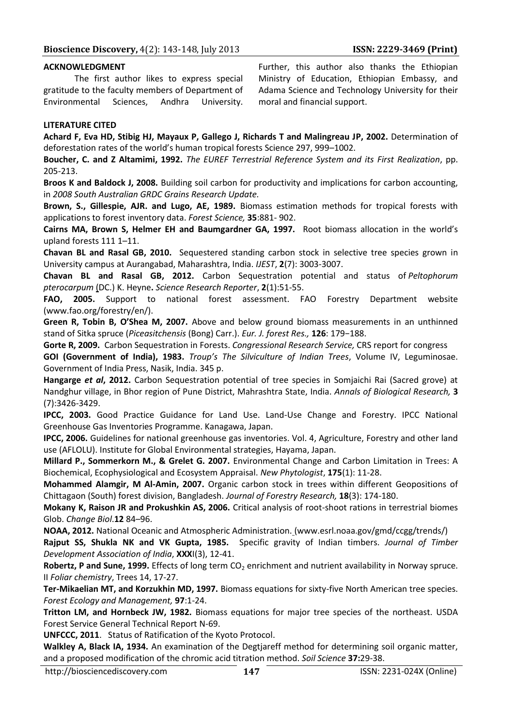#### **ACKNOWLEDGMENT**

The first author likes to express special gratitude to the faculty members of Department of Environmental Sciences, Andhra University.

Further, this author also thanks the Ethiopian Ministry of Education, Ethiopian Embassy, and Adama Science and Technology University for their moral and financial support.

#### **LITERATURE CITED**

**Achard F, Eva HD, Stibig HJ, Mayaux P, Gallego J, Richards T and Malingreau JP, 2002.** Determination of deforestation rates of the world's human tropical forests Science 297, 999–1002.

**Boucher, C. and Z Altamimi, 1992.** *The EUREF Terrestrial Reference System and its First Realization*, pp. 205-213.

**Broos K and Baldock J, 2008.** Building soil carbon for productivity and implications for carbon accounting, in *2008 South Australian GRDC Grains Research Update.*

**Brown, S., Gillespie, AJR. and Lugo, AE, 1989.** Biomass estimation methods for tropical forests with applications to forest inventory data. *Forest Science,* **35**:881- 902.

**Cairns MA, Brown S, Helmer EH and Baumgardner GA, 1997.** Root biomass allocation in the world's upland forests 111 1–11.

**Chavan BL and Rasal GB, 2010.** Sequestered standing carbon stock in selective tree species grown in University campus at Aurangabad, Maharashtra, India. *IJEST*, **2**(7): 3003-3007.

**Chavan BL and Rasal GB, 2012.** Carbon [Sequestration](http://jsrr.in/Vol%202%20No.%201/Chavanbl51-55.pdf) potential and status of *Peltophorum [pterocarpum](http://jsrr.in/Vol%202%20No.%201/Chavanbl51-55.pdf)* (DC.) K. [Heyne](http://jsrr.in/Vol%202%20No.%201/Chavanbl51-55.pdf)**.** *Science Research Reporter*, **2**(1):51-55.

**FAO, 2005.** Support to national forest assessment. FAO Forestry Department website [\(www.fao.org/forestry/en/\)](http://www.fao.org/forestry/en/).

**Green R, Tobin B, O'Shea M, 2007.** Above and below ground biomass measurements in an unthinned stand of Sitka spruce (*Piceasitchensis* (Bong) Carr.). *Eur. J. forest Res.,* **126**: 179−188.

**Gorte R, 2009.** Carbon Sequestration in Forests. *Congressional Research Service,* CRS report for congress

**GOI (Government of India), 1983.** *Troup's The Silviculture of Indian Trees*, Volume IV, Leguminosae. Government of India Press, Nasik, India. 345 p.

**Hangarge** *et al***, 2012.** Carbon Sequestration potential of tree species in Somjaichi Rai (Sacred grove) at Nandghur village, in Bhor region of Pune District, Mahrashtra State, India. *Annals of Biological Research,* **3** (7):3426-3429.

**IPCC, 2003.** Good Practice Guidance for Land Use. Land-Use Change and Forestry. IPCC National Greenhouse Gas Inventories Programme. Kanagawa, Japan.

**IPCC, 2006.** Guidelines for national greenhouse gas inventories. Vol. 4, Agriculture, Forestry and other land use (AFLOLU). Institute for Global Environmental strategies, Hayama, Japan.

**Millard P., Sommerkorn M., & Grelet G. 2007.** Environmental Change and Carbon Limitation in Trees: A Biochemical, Ecophysiological and Ecosystem Appraisal. *New Phytologist*, **175**(1): 11-28.

**Mohammed Alamgir, M Al-Amin, 2007.** Organic carbon stock in trees within different Geopositions of Chittagaon (South) forest division, Bangladesh. *Journal of Forestry Research,* **18**(3): 174-180.

**Mokany K, Raison JR and Prokushkin AS, 2006.** Critical analysis of root-shoot rations in terrestrial biomes Glob. *Change Biol*.**12** 84–96.

**NOAA, 2012.** National Oceanic and Atmospheric Administration. (www.esrl.noaa.gov/gmd/ccgg/trends/)

**Rajput SS, Shukla NK and VK Gupta, 1985.** Specific gravity of Indian timbers. *Journal of Timber Development Association of India*, **XXX**I(3), 12-41.

**Robertz, P and Sune, 1999.** Effects of long term CO<sub>2</sub> enrichment and nutrient availability in Norway spruce. II *Foliar chemistry*, Trees 14, 17‐27.

**Ter-Mikaelian MT, and Korzukhin MD, 1997.** Biomass equations for sixty-five North American tree species. *Forest Ecology and Management,* **97**:1-24.

**Tritton LM, and Hornbeck JW, 1982.** Biomass equations for major tree species of the northeast. USDA Forest Service General Technical Report N-69.

**UNFCCC, 2011**. Status of Ratification of the Kyoto Protocol.

**Walkley A, Black IA, 1934.** An examination of the Degtjareff method for determining soil organic matter, and a proposed modification of the chromic acid titration method. *Soil Science* **37:**29-38.

http://biosciencediscovery.com **147 147** ISSN: 2231-024X (Online)